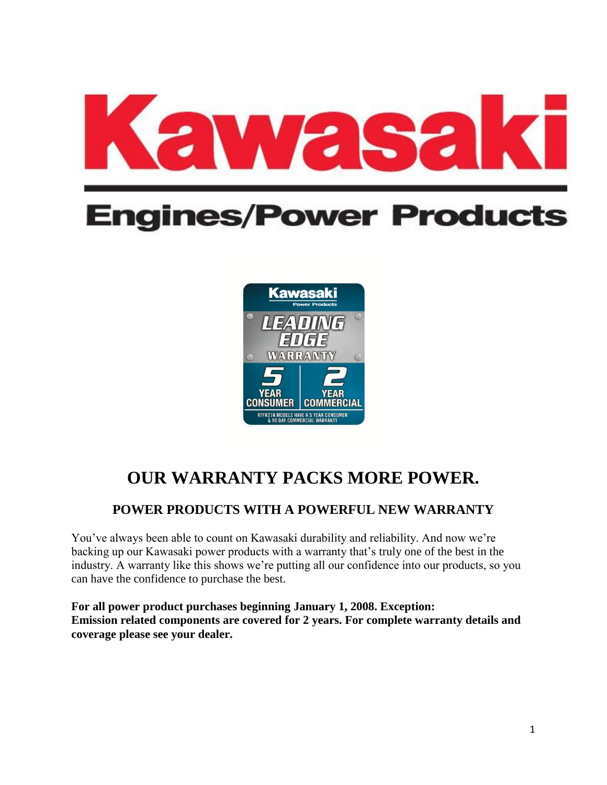

# **Engines/Power Products**



## **OUR WARRANTY PACKS MORE POWER.**

### **POWER PRODUCTS WITH A POWERFUL NEW WARRANTY**

You've always been able to count on Kawasaki durability and reliability. And now we're backing up our Kawasaki power products with a warranty that's truly one of the best in the industry. A warranty like this shows we're putting all our confidence into our products, so you can have the confidence to purchase the best.

**For all power product purchases beginning January 1, 2008. Exception: Emission related components are covered for 2 years. For complete warranty details and coverage please see your dealer.**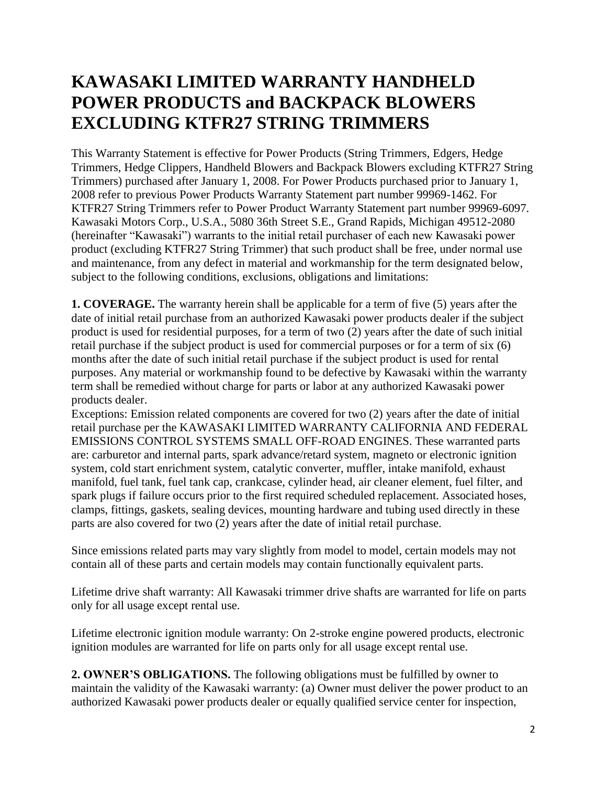## **KAWASAKI LIMITED WARRANTY HANDHELD POWER PRODUCTS and BACKPACK BLOWERS EXCLUDING KTFR27 STRING TRIMMERS**

This Warranty Statement is effective for Power Products (String Trimmers, Edgers, Hedge Trimmers, Hedge Clippers, Handheld Blowers and Backpack Blowers excluding KTFR27 String Trimmers) purchased after January 1, 2008. For Power Products purchased prior to January 1, 2008 refer to previous Power Products Warranty Statement part number 99969-1462. For KTFR27 String Trimmers refer to Power Product Warranty Statement part number 99969-6097. Kawasaki Motors Corp., U.S.A., 5080 36th Street S.E., Grand Rapids, Michigan 49512-2080 (hereinafter "Kawasaki") warrants to the initial retail purchaser of each new Kawasaki power product (excluding KTFR27 String Trimmer) that such product shall be free, under normal use and maintenance, from any defect in material and workmanship for the term designated below, subject to the following conditions, exclusions, obligations and limitations:

**1. COVERAGE.** The warranty herein shall be applicable for a term of five (5) years after the date of initial retail purchase from an authorized Kawasaki power products dealer if the subject product is used for residential purposes, for a term of two (2) years after the date of such initial retail purchase if the subject product is used for commercial purposes or for a term of six (6) months after the date of such initial retail purchase if the subject product is used for rental purposes. Any material or workmanship found to be defective by Kawasaki within the warranty term shall be remedied without charge for parts or labor at any authorized Kawasaki power products dealer.

Exceptions: Emission related components are covered for two (2) years after the date of initial retail purchase per the KAWASAKI LIMITED WARRANTY CALIFORNIA AND FEDERAL EMISSIONS CONTROL SYSTEMS SMALL OFF-ROAD ENGINES. These warranted parts are: carburetor and internal parts, spark advance/retard system, magneto or electronic ignition system, cold start enrichment system, catalytic converter, muffler, intake manifold, exhaust manifold, fuel tank, fuel tank cap, crankcase, cylinder head, air cleaner element, fuel filter, and spark plugs if failure occurs prior to the first required scheduled replacement. Associated hoses, clamps, fittings, gaskets, sealing devices, mounting hardware and tubing used directly in these parts are also covered for two (2) years after the date of initial retail purchase.

Since emissions related parts may vary slightly from model to model, certain models may not contain all of these parts and certain models may contain functionally equivalent parts.

Lifetime drive shaft warranty: All Kawasaki trimmer drive shafts are warranted for life on parts only for all usage except rental use.

Lifetime electronic ignition module warranty: On 2-stroke engine powered products, electronic ignition modules are warranted for life on parts only for all usage except rental use.

**2. OWNER'S OBLIGATIONS.** The following obligations must be fulfilled by owner to maintain the validity of the Kawasaki warranty: (a) Owner must deliver the power product to an authorized Kawasaki power products dealer or equally qualified service center for inspection,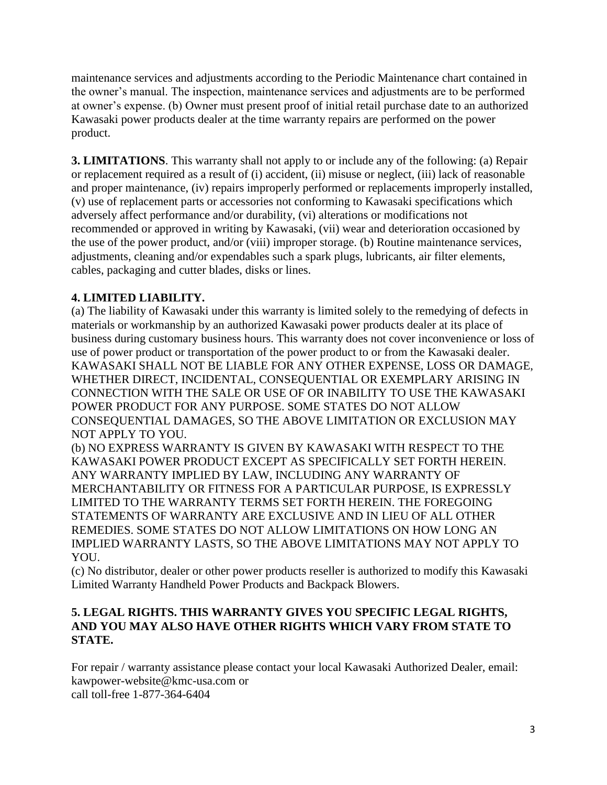maintenance services and adjustments according to the Periodic Maintenance chart contained in the owner's manual. The inspection, maintenance services and adjustments are to be performed at owner's expense. (b) Owner must present proof of initial retail purchase date to an authorized Kawasaki power products dealer at the time warranty repairs are performed on the power product.

**3. LIMITATIONS**. This warranty shall not apply to or include any of the following: (a) Repair or replacement required as a result of (i) accident, (ii) misuse or neglect, (iii) lack of reasonable and proper maintenance, (iv) repairs improperly performed or replacements improperly installed, (v) use of replacement parts or accessories not conforming to Kawasaki specifications which adversely affect performance and/or durability, (vi) alterations or modifications not recommended or approved in writing by Kawasaki, (vii) wear and deterioration occasioned by the use of the power product, and/or (viii) improper storage. (b) Routine maintenance services, adjustments, cleaning and/or expendables such a spark plugs, lubricants, air filter elements, cables, packaging and cutter blades, disks or lines.

#### **4. LIMITED LIABILITY.**

(a) The liability of Kawasaki under this warranty is limited solely to the remedying of defects in materials or workmanship by an authorized Kawasaki power products dealer at its place of business during customary business hours. This warranty does not cover inconvenience or loss of use of power product or transportation of the power product to or from the Kawasaki dealer. KAWASAKI SHALL NOT BE LIABLE FOR ANY OTHER EXPENSE, LOSS OR DAMAGE, WHETHER DIRECT, INCIDENTAL, CONSEQUENTIAL OR EXEMPLARY ARISING IN CONNECTION WITH THE SALE OR USE OF OR INABILITY TO USE THE KAWASAKI POWER PRODUCT FOR ANY PURPOSE. SOME STATES DO NOT ALLOW CONSEQUENTIAL DAMAGES, SO THE ABOVE LIMITATION OR EXCLUSION MAY NOT APPLY TO YOU.

(b) NO EXPRESS WARRANTY IS GIVEN BY KAWASAKI WITH RESPECT TO THE KAWASAKI POWER PRODUCT EXCEPT AS SPECIFICALLY SET FORTH HEREIN. ANY WARRANTY IMPLIED BY LAW, INCLUDING ANY WARRANTY OF MERCHANTABILITY OR FITNESS FOR A PARTICULAR PURPOSE, IS EXPRESSLY LIMITED TO THE WARRANTY TERMS SET FORTH HEREIN. THE FOREGOING STATEMENTS OF WARRANTY ARE EXCLUSIVE AND IN LIEU OF ALL OTHER REMEDIES. SOME STATES DO NOT ALLOW LIMITATIONS ON HOW LONG AN IMPLIED WARRANTY LASTS, SO THE ABOVE LIMITATIONS MAY NOT APPLY TO YOU.

(c) No distributor, dealer or other power products reseller is authorized to modify this Kawasaki Limited Warranty Handheld Power Products and Backpack Blowers.

#### **5. LEGAL RIGHTS. THIS WARRANTY GIVES YOU SPECIFIC LEGAL RIGHTS, AND YOU MAY ALSO HAVE OTHER RIGHTS WHICH VARY FROM STATE TO STATE.**

For repair / warranty assistance please contact your local Kawasaki Authorized Dealer, email: kawpower-website@kmc-usa.com or call toll-free 1-877-364-6404